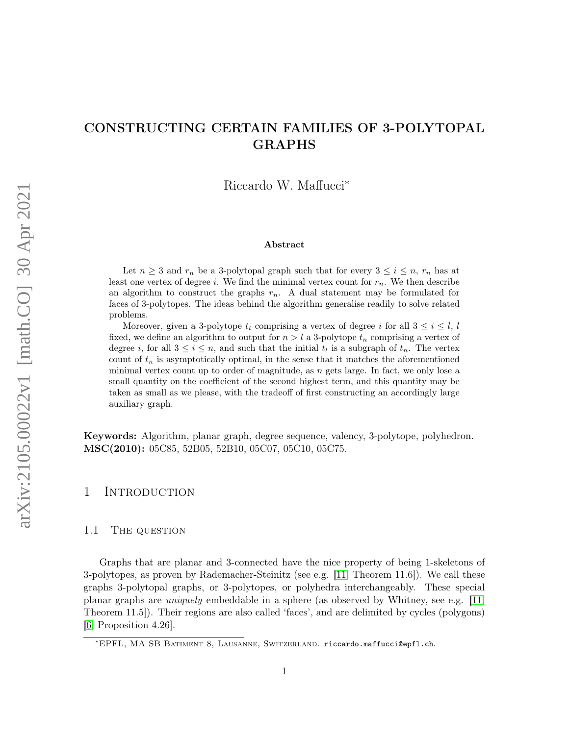# CONSTRUCTING CERTAIN FAMILIES OF 3-POLYTOPAL GRAPHS

Riccardo W. Maffucci<sup>∗</sup>

#### Abstract

Let  $n \geq 3$  and  $r_n$  be a 3-polytopal graph such that for every  $3 \leq i \leq n$ ,  $r_n$  has at least one vertex of degree i. We find the minimal vertex count for  $r_n$ . We then describe an algorithm to construct the graphs  $r_n$ . A dual statement may be formulated for faces of 3-polytopes. The ideas behind the algorithm generalise readily to solve related problems.

Moreover, given a 3-polytope  $t_l$  comprising a vertex of degree i for all  $3 \le i \le l$ , l fixed, we define an algorithm to output for  $n > l$  a 3-polytope  $t_n$  comprising a vertex of degree *i*, for all  $3 \le i \le n$ , and such that the initial  $t_l$  is a subgraph of  $t_n$ . The vertex count of  $t_n$  is asymptotically optimal, in the sense that it matches the aforementioned minimal vertex count up to order of magnitude, as n gets large. In fact, we only lose a small quantity on the coefficient of the second highest term, and this quantity may be taken as small as we please, with the tradeoff of first constructing an accordingly large auxiliary graph.

Keywords: Algorithm, planar graph, degree sequence, valency, 3-polytope, polyhedron. MSC(2010): 05C85, 52B05, 52B10, 05C07, 05C10, 05C75.

## 1 INTRODUCTION

### 1.1 THE QUESTION

Graphs that are planar and 3-connected have the nice property of being 1-skeletons of 3-polytopes, as proven by Rademacher-Steinitz (see e.g. [\[11,](#page-18-0) Theorem 11.6]). We call these graphs 3-polytopal graphs, or 3-polytopes, or polyhedra interchangeably. These special planar graphs are uniquely embeddable in a sphere (as observed by Whitney, see e.g. [\[11,](#page-18-0) Theorem 11.5]). Their regions are also called 'faces', and are delimited by cycles (polygons) [\[6,](#page-18-1) Proposition 4.26].

<sup>∗</sup>EPFL, MA SB Batiment 8, Lausanne, Switzerland. riccardo.maffucci@epfl.ch.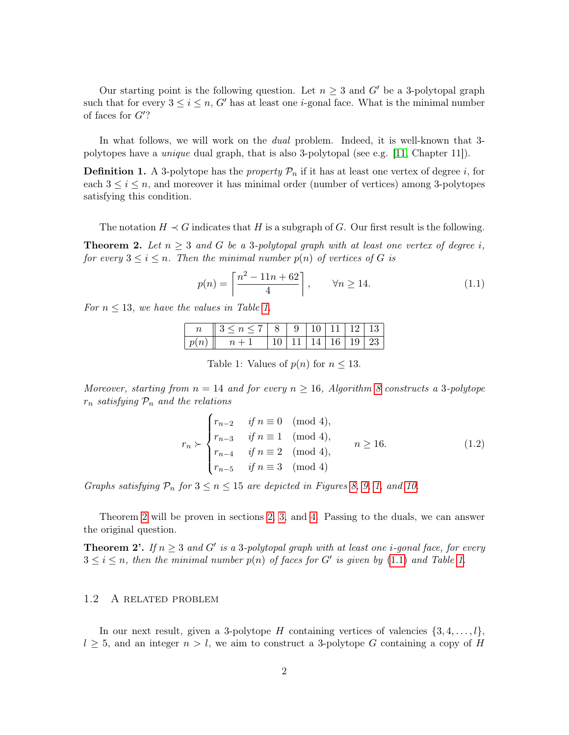Our starting point is the following question. Let  $n \geq 3$  and G' be a 3-polytopal graph such that for every  $3 \leq i \leq n$ , G' has at least one *i*-gonal face. What is the minimal number of faces for  $G$ ?

In what follows, we will work on the dual problem. Indeed, it is well-known that 3 polytopes have a unique dual graph, that is also 3-polytopal (see e.g. [\[11,](#page-18-0) Chapter 11]).

<span id="page-1-3"></span>**Definition 1.** A 3-polytope has the *property*  $\mathcal{P}_n$  if it has at least one vertex of degree *i*, for each  $3 \leq i \leq n$ , and moreover it has minimal order (number of vertices) among 3-polytopes satisfying this condition.

The notation  $H \prec G$  indicates that H is a subgraph of G. Our first result is the following.

<span id="page-1-1"></span>**Theorem 2.** Let  $n \geq 3$  and G be a 3-polytopal graph with at least one vertex of degree i, for every  $3 \leq i \leq n$ . Then the minimal number  $p(n)$  of vertices of G is

<span id="page-1-2"></span>
$$
p(n) = \left\lceil \frac{n^2 - 11n + 62}{4} \right\rceil, \qquad \forall n \ge 14. \tag{1.1}
$$

<span id="page-1-0"></span>For  $n \leq 13$ , we have the values in Table [1.](#page-1-0)

| $n \parallel 3 \leq n \leq 7 \parallel 8 \parallel 9 \parallel 10 \parallel 11 \parallel 12 \parallel 13$ |  |  |  |
|-----------------------------------------------------------------------------------------------------------|--|--|--|
| $\mid p(n) \parallel n+1 \mid 10 \mid 11 \mid \overline{14 \mid 16 \mid 19 \mid 23}$                      |  |  |  |

Table 1: Values of  $p(n)$  for  $n \leq 13$ .

Moreover, starting from  $n = 14$  and for every  $n \ge 16$ , Algorithm [8](#page-6-0) constructs a 3-polytope  $r_n$  satisfying  $P_n$  and the relations

<span id="page-1-4"></span>
$$
r_n \succ \begin{cases} r_{n-2} & \text{if } n \equiv 0 \pmod{4}, \\ r_{n-3} & \text{if } n \equiv 1 \pmod{4}, \\ r_{n-4} & \text{if } n \equiv 2 \pmod{4}, \\ r_{n-5} & \text{if } n \equiv 3 \pmod{4} \end{cases}
$$
 (1.2)

Graphs satisfying  $P_n$  for  $3 \leq n \leq 15$  are depicted in Figures [8,](#page-16-0) [9,](#page-16-1) [1,](#page-5-0) and [10.](#page-17-0)

Theorem [2](#page-1-1) will be proven in sections [2,](#page-3-0) [3,](#page-4-0) and [4.](#page-5-1) Passing to the duals, we can answer the original question.

**Theorem 2'.** If  $n \geq 3$  and G' is a 3-polytopal graph with at least one *i*-gonal face, for every  $3 \leq i \leq n$ , then the minimal number  $p(n)$  of faces for G' is given by [\(1.1\)](#page-1-2) and Table [1.](#page-1-0)

### 1.2 A related problem

In our next result, given a 3-polytope H containing vertices of valencies  $\{3, 4, \ldots, l\}$ ,  $l \geq 5$ , and an integer  $n > l$ , we aim to construct a 3-polytope G containing a copy of H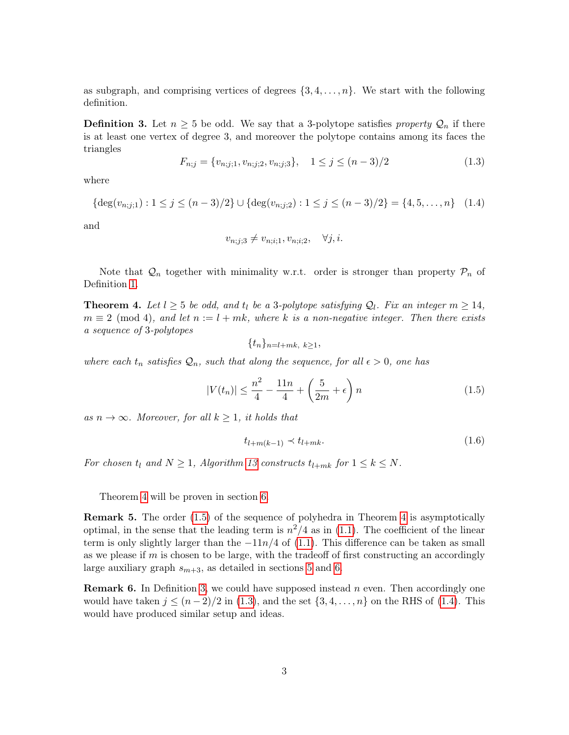as subgraph, and comprising vertices of degrees  $\{3, 4, \ldots, n\}$ . We start with the following definition.

<span id="page-2-2"></span>**Definition 3.** Let  $n \geq 5$  be odd. We say that a 3-polytope satisfies property  $\mathcal{Q}_n$  if there is at least one vertex of degree 3, and moreover the polytope contains among its faces the triangles

<span id="page-2-3"></span>
$$
F_{n;j} = \{v_{n;j;1}, v_{n;j;2}, v_{n;j;3}\}, \quad 1 \le j \le (n-3)/2
$$
\n(1.3)

where

<span id="page-2-4"></span>
$$
\{\deg(v_{n;j;1}) : 1 \le j \le (n-3)/2\} \cup \{\deg(v_{n;j;2}) : 1 \le j \le (n-3)/2\} = \{4, 5, \dots, n\} \quad (1.4)
$$

and

$$
v_{n;j;3} \neq v_{n;i;1}, v_{n;i;2}, \quad \forall j, i.
$$

Note that  $\mathcal{Q}_n$  together with minimality w.r.t. order is stronger than property  $\mathcal{P}_n$  of Definition [1.](#page-1-3)

<span id="page-2-0"></span>**Theorem 4.** Let  $l \geq 5$  be odd, and  $t_l$  be a 3-polytope satisfying  $Q_l$ . Fix an integer  $m \geq 14$ ,  $m \equiv 2 \pmod{4}$ , and let  $n := l + mk$ , where k is a non-negative integer. Then there exists a sequence of 3-polytopes

$$
\{t_n\}_{n=l+mk, k\geq 1},
$$

where each  $t_n$  satisfies  $\mathcal{Q}_n$ , such that along the sequence, for all  $\epsilon > 0$ , one has

<span id="page-2-1"></span>
$$
|V(t_n)| \le \frac{n^2}{4} - \frac{11n}{4} + \left(\frac{5}{2m} + \epsilon\right)n
$$
\n(1.5)

as  $n \to \infty$ . Moreover, for all  $k \geq 1$ , it holds that

<span id="page-2-5"></span>
$$
t_{l+m(k-1)} \prec t_{l+mk}.\tag{1.6}
$$

For chosen  $t_l$  and  $N \geq 1$ , Algorithm [13](#page-12-0) constructs  $t_{l+mk}$  for  $1 \leq k \leq N$ .

Theorem [4](#page-2-0) will be proven in section [6.](#page-11-0)

Remark 5. The order [\(1.5\)](#page-2-1) of the sequence of polyhedra in Theorem [4](#page-2-0) is asymptotically optimal, in the sense that the leading term is  $n^2/4$  as in [\(1.1\)](#page-1-2). The coefficient of the linear term is only slightly larger than the  $-11n/4$  of [\(1.1\)](#page-1-2). This difference can be taken as small as we please if  $m$  is chosen to be large, with the tradeoff of first constructing an accordingly large auxiliary graph  $s_{m+3}$ , as detailed in sections [5](#page-9-0) and [6.](#page-11-0)

**Remark 6.** In Definition [3,](#page-2-2) we could have supposed instead n even. Then accordingly one would have taken  $j \leq (n-2)/2$  in [\(1.3\)](#page-2-3), and the set  $\{3, 4, \ldots, n\}$  on the RHS of [\(1.4\)](#page-2-4). This would have produced similar setup and ideas.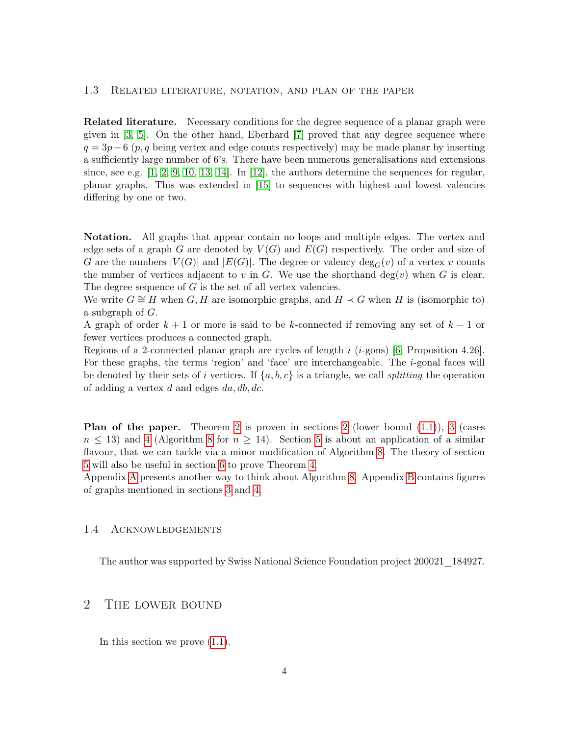### 1.3 Related literature, notation, and plan of the paper

Related literature. Necessary conditions for the degree sequence of a planar graph were given in [\[3,](#page-18-2) [5\]](#page-18-3). On the other hand, Eberhard [\[7\]](#page-18-4) proved that any degree sequence where  $q = 3p - 6$  (p, q being vertex and edge counts respectively) may be made planar by inserting a sufficiently large number of 6's. There have been numerous generalisations and extensions since, see e.g.  $[1, 2, 9, 10, 13, 14]$  $[1, 2, 9, 10, 13, 14]$  $[1, 2, 9, 10, 13, 14]$  $[1, 2, 9, 10, 13, 14]$  $[1, 2, 9, 10, 13, 14]$  $[1, 2, 9, 10, 13, 14]$ . In [\[12\]](#page-18-11), the authors determine the sequences for regular, planar graphs. This was extended in [\[15\]](#page-18-12) to sequences with highest and lowest valencies differing by one or two.

Notation. All graphs that appear contain no loops and multiple edges. The vertex and edge sets of a graph G are denoted by  $V(G)$  and  $E(G)$  respectively. The order and size of G are the numbers  $|V(G)|$  and  $|E(G)|$ . The degree or valency  $\deg_G(v)$  of a vertex v counts the number of vertices adjacent to v in G. We use the shorthand deg(v) when G is clear. The degree sequence of  $G$  is the set of all vertex valencies.

We write  $G \cong H$  when  $G, H$  are isomorphic graphs, and  $H \prec G$  when H is (isomorphic to) a subgraph of  $G$ .

A graph of order  $k + 1$  or more is said to be k-connected if removing any set of  $k - 1$  or fewer vertices produces a connected graph.

Regions of a 2-connected planar graph are cycles of length  $i$  (*i*-gons) [\[6,](#page-18-1) Proposition 4.26]. For these graphs, the terms 'region' and 'face' are interchangeable. The  $i$ -gonal faces will be denoted by their sets of i vertices. If  $\{a, b, c\}$  is a triangle, we call *splitting* the operation of adding a vertex  $d$  and edges  $da, db, dc$ .

**Plan of the paper.** Theorem [2](#page-3-0) is proven in sections 2 (lower bound  $(1.1)$ ), [3](#page-4-0) (cases  $n \leq 13$ ) and [4](#page-5-1) (Algorithm [8](#page-6-0) for  $n \geq 14$ ). Section [5](#page-9-0) is about an application of a similar flavour, that we can tackle via a minor modification of Algorithm [8.](#page-6-0) The theory of section [5](#page-9-0) will also be useful in section [6](#page-11-0) to prove Theorem [4.](#page-2-0)

Appendix [A](#page-14-0) presents another way to think about Algorithm [8.](#page-6-0) Appendix [B](#page-15-0) contains figures of graphs mentioned in sections [3](#page-4-0) and [4.](#page-5-1)

### 1.4 Acknowledgements

The author was supported by Swiss National Science Foundation project 200021\_184927.

## <span id="page-3-0"></span>2 The lower bound

In this section we prove [\(1.1\)](#page-1-2).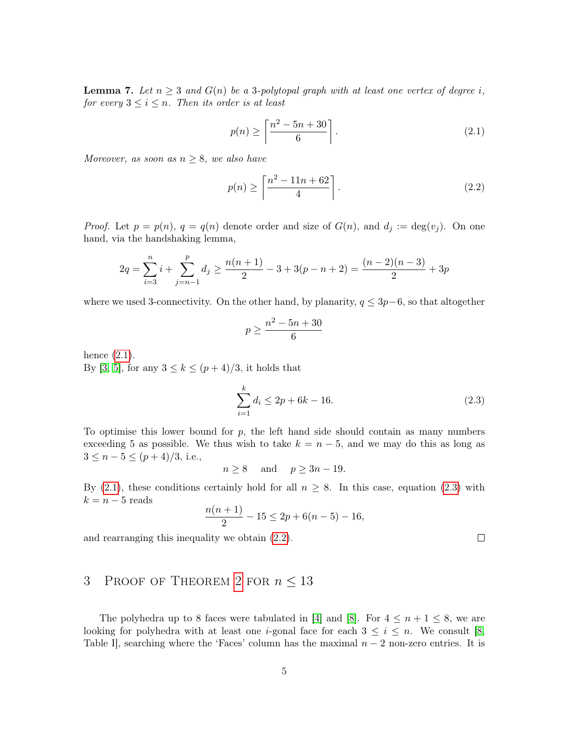<span id="page-4-4"></span>**Lemma 7.** Let  $n \geq 3$  and  $G(n)$  be a 3-polytopal graph with at least one vertex of degree i, for every  $3 \leq i \leq n$ . Then its order is at least

<span id="page-4-1"></span>
$$
p(n) \ge \left\lceil \frac{n^2 - 5n + 30}{6} \right\rceil. \tag{2.1}
$$

Moreover, as soon as  $n \geq 8$ , we also have

<span id="page-4-3"></span>
$$
p(n) \ge \left\lceil \frac{n^2 - 11n + 62}{4} \right\rceil. \tag{2.2}
$$

*Proof.* Let  $p = p(n)$ ,  $q = q(n)$  denote order and size of  $G(n)$ , and  $d_j := deg(v_j)$ . On one hand, via the handshaking lemma,

$$
2q = \sum_{i=3}^{n} i + \sum_{j=n-1}^{p} d_j \ge \frac{n(n+1)}{2} - 3 + 3(p - n + 2) = \frac{(n-2)(n-3)}{2} + 3p
$$

where we used 3-connectivity. On the other hand, by planarity,  $q \leq 3p-6$ , so that altogether

$$
p \ge \frac{n^2 - 5n + 30}{6}
$$

hence [\(2.1\)](#page-4-1). By [\[3,](#page-18-2) [5\]](#page-18-3), for any  $3 \leq k \leq (p+4)/3$ , it holds that

<span id="page-4-2"></span>
$$
\sum_{i=1}^{k} d_i \le 2p + 6k - 16. \tag{2.3}
$$

To optimise this lower bound for  $p$ , the left hand side should contain as many numbers exceeding 5 as possible. We thus wish to take  $k = n - 5$ , and we may do this as long as  $3 \leq n-5 \leq (p+4)/3$ , i.e.,

$$
n \ge 8 \quad \text{and} \quad p \ge 3n - 19.
$$

By [\(2.1\)](#page-4-1), these conditions certainly hold for all  $n \geq 8$ . In this case, equation [\(2.3\)](#page-4-2) with  $k = n - 5$  reads

$$
\frac{n(n+1)}{2} - 15 \le 2p + 6(n-5) - 16,
$$

and rearranging this inequality we obtain [\(2.2\)](#page-4-3).

## <span id="page-4-0"></span>3 PROOF OF THEOREM [2](#page-1-1) FOR  $n \leq 13$

The polyhedra up to 8 faces were tabulated in [\[4\]](#page-18-13) and [\[8\]](#page-18-14). For  $4 \leq n+1 \leq 8$ , we are looking for polyhedra with at least one *i*-gonal face for each  $3 \leq i \leq n$ . We consult [\[8,](#page-18-14) Table I, searching where the 'Faces' column has the maximal  $n-2$  non-zero entries. It is

 $\Box$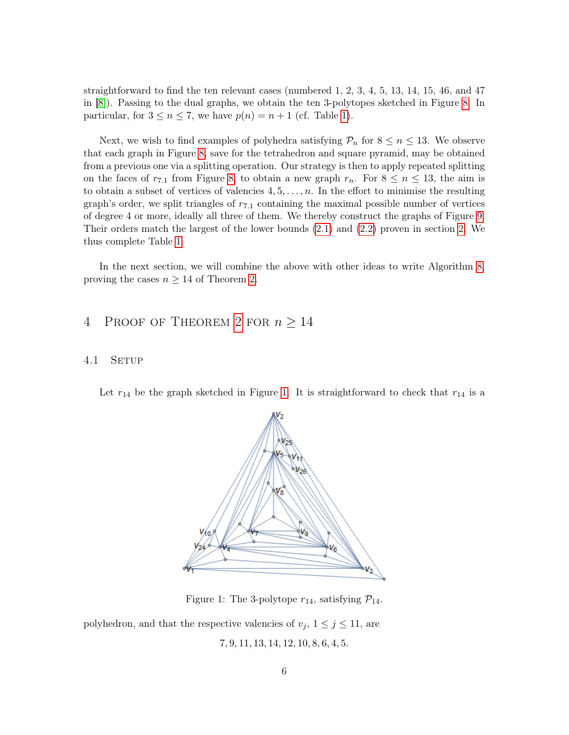straightforward to find the ten relevant cases (numbered 1, 2, 3, 4, 5, 13, 14, 15, 46, and 47 in [\[8\]](#page-18-14)). Passing to the dual graphs, we obtain the ten 3-polytopes sketched in Figure [8.](#page-16-0) In particular, for  $3 \le n \le 7$ , we have  $p(n) = n + 1$  (cf. Table [1\)](#page-1-0).

Next, we wish to find examples of polyhedra satisfying  $\mathcal{P}_n$  for  $8 \leq n \leq 13$ . We observe that each graph in Figure [8,](#page-16-0) save for the tetrahedron and square pyramid, may be obtained from a previous one via a splitting operation. Our strategy is then to apply repeated splitting on the faces of  $r_{7,1}$  from Figure [8,](#page-16-0) to obtain a new graph  $r_n$ . For  $8 \le n \le 13$ , the aim is to obtain a subset of vertices of valencies  $4, 5, \ldots, n$ . In the effort to minimise the resulting graph's order, we split triangles of  $r_{7.1}$  containing the maximal possible number of vertices of degree 4 or more, ideally all three of them. We thereby construct the graphs of Figure [9.](#page-16-1) Their orders match the largest of the lower bounds [\(2.1\)](#page-4-1) and [\(2.2\)](#page-4-3) proven in section [2.](#page-3-0) We thus complete Table [1.](#page-1-0)

In the next section, we will combine the above with other ideas to write Algorithm [8,](#page-6-0) proving the cases  $n \geq 14$  of Theorem [2.](#page-1-1)

## <span id="page-5-1"></span>4 PROOF OF THEOREM [2](#page-1-1) FOR  $n \geq 14$

### 4.1 SETUP

<span id="page-5-0"></span>Let  $r_{14}$  be the graph sketched in Figure [1.](#page-5-0) It is straightforward to check that  $r_{14}$  is a



Figure 1: The 3-polytope  $r_{14}$ , satisfying  $\mathcal{P}_{14}$ .

polyhedron, and that the respective valencies of  $v_j$ ,  $1 \leq j \leq 11$ , are 7, 9, 11, 13, 14, 12, 10, 8, 6, 4, 5.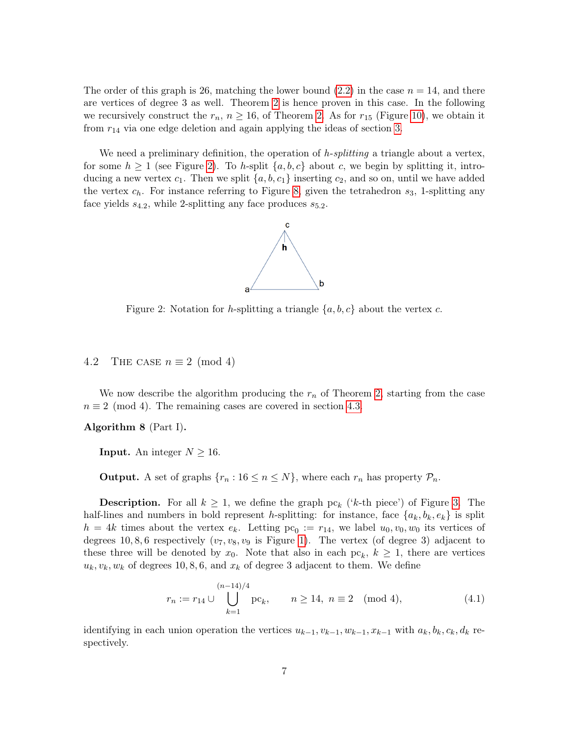The order of this graph is 26, matching the lower bound [\(2.2\)](#page-4-3) in the case  $n = 14$ , and there are vertices of degree 3 as well. Theorem [2](#page-1-1) is hence proven in this case. In the following we recursively construct the  $r_n$ ,  $n \geq 16$ , of Theorem [2.](#page-1-1) As for  $r_{15}$  (Figure [10\)](#page-17-0), we obtain it from  $r_{14}$  via one edge deletion and again applying the ideas of section [3.](#page-4-0)

<span id="page-6-1"></span>We need a preliminary definition, the operation of  $h$ -splitting a triangle about a vertex, for some  $h \geq 1$  (see Figure [2\)](#page-6-1). To h-split  $\{a, b, c\}$  about c, we begin by splitting it, introducing a new vertex  $c_1$ . Then we split  $\{a, b, c_1\}$  inserting  $c_2$ , and so on, until we have added the vertex  $c_h$ . For instance referring to Figure [8,](#page-16-0) given the tetrahedron  $s_3$ , 1-splitting any face yields  $s_{4,2}$ , while 2-splitting any face produces  $s_{5,2}$ .



Figure 2: Notation for h-splitting a triangle  $\{a, b, c\}$  about the vertex c.

### 4.2 THE CASE  $n \equiv 2 \pmod{4}$

We now describe the algorithm producing the  $r_n$  of Theorem [2,](#page-1-1) starting from the case  $n \equiv 2 \pmod{4}$ . The remaining cases are covered in section [4.3.](#page-8-0)

<span id="page-6-0"></span>Algorithm 8 (Part I).

**Input.** An integer  $N \geq 16$ .

**Output.** A set of graphs  $\{r_n : 16 \le n \le N\}$ , where each  $r_n$  has property  $\mathcal{P}_n$ .

**Description.** For all  $k \geq 1$ , we define the graph  $pc_k$  ('k-th piece') of Figure [3.](#page-7-0) The half-lines and numbers in bold represent h-splitting: for instance, face  $\{a_k, b_k, e_k\}$  is split  $h = 4k$  times about the vertex  $e_k$ . Letting  $pc_0 := r_{14}$ , we label  $u_0, v_0, w_0$  its vertices of degrees 10, 8, 6 respectively  $(v_7, v_8, v_9)$  is Figure 1. The vertex (of degree 3) adjacent to these three will be denoted by  $x_0$ . Note that also in each  $pc_k$ ,  $k \geq 1$ , there are vertices  $u_k, v_k, w_k$  of degrees 10, 8, 6, and  $x_k$  of degree 3 adjacent to them. We define

<span id="page-6-2"></span>
$$
r_n := r_{14} \cup \bigcup_{k=1}^{(n-14)/4} pc_k, \qquad n \ge 14, \ n \equiv 2 \pmod{4}, \tag{4.1}
$$

identifying in each union operation the vertices  $u_{k-1}, v_{k-1}, w_{k-1}, x_{k-1}$  with  $a_k, b_k, c_k, d_k$  respectively.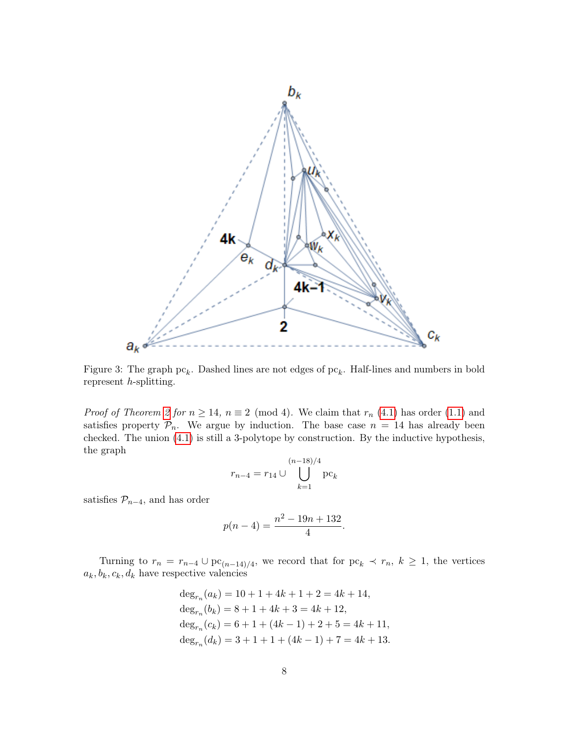<span id="page-7-0"></span>

Figure 3: The graph  $pc_k$ . Dashed lines are not edges of  $pc_k$ . Half-lines and numbers in bold represent h-splitting.

*Proof of Theorem [2](#page-1-1) for*  $n \ge 14$ ,  $n \equiv 2 \pmod{4}$ . We claim that  $r_n$  [\(4.1\)](#page-6-2) has order [\(1.1\)](#page-1-2) and satisfies property  $P_n$ . We argue by induction. The base case  $n = 14$  has already been checked. The union [\(4.1\)](#page-6-2) is still a 3-polytope by construction. By the inductive hypothesis, the graph

$$
r_{n-4} = r_{14} \cup \bigcup_{k=1}^{(n-18)/4} \mathrm{pc}_k
$$

satisfies  $\mathcal{P}_{n-4}$ , and has order

$$
p(n-4) = \frac{n^2 - 19n + 132}{4}.
$$

Turning to  $r_n = r_{n-4} \cup pc_{(n-14)/4}$ , we record that for  $pc_k \prec r_n$ ,  $k \geq 1$ , the vertices  $a_k, b_k, c_k, d_k$  have respective valencies

> $\deg_{r_n}(a_k) = 10 + 1 + 4k + 1 + 2 = 4k + 14,$  $\deg_{r_n}(b_k) = 8 + 1 + 4k + 3 = 4k + 12,$  $\deg_{r_n}(c_k) = 6 + 1 + (4k - 1) + 2 + 5 = 4k + 11,$  $\deg_{r_n}(d_k) = 3 + 1 + 1 + (4k - 1) + 7 = 4k + 13.$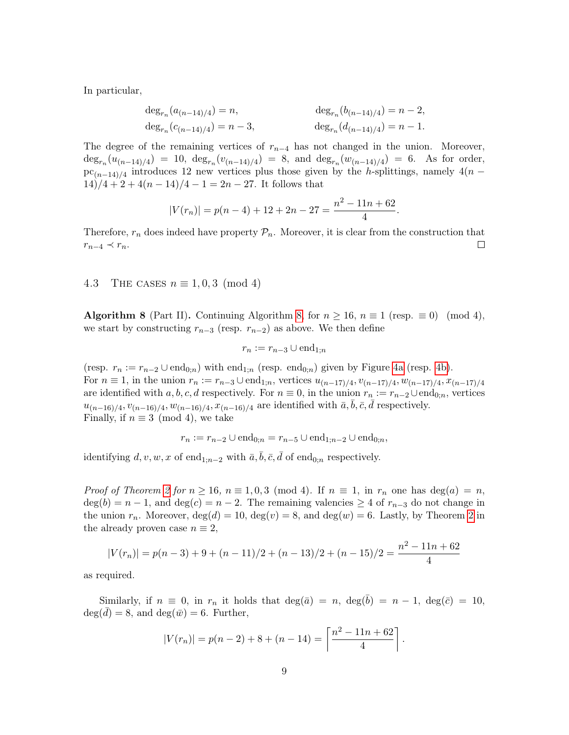In particular,

$$
\begin{aligned} \deg_{r_n}(a_{(n-14)/4}) &= n, & \deg_{r_n}(b_{(n-14)/4}) &= n-2, \\ \deg_{r_n}(c_{(n-14)/4}) &= n-3, & \deg_{r_n}(d_{(n-14)/4}) &= n-1. \end{aligned}
$$

The degree of the remaining vertices of  $r_{n-4}$  has not changed in the union. Moreover,  $\deg_{r_n}(u_{(n-14)/4}) = 10$ ,  $\deg_{r_n}(v_{(n-14)/4}) = 8$ , and  $\deg_{r_n}(w_{(n-14)/4}) = 6$ . As for order,  $pc_{(n-14)/4}$  introduces 12 new vertices plus those given by the h-splittings, namely 4(n –  $14)/4 + 2 + 4(n - 14)/4 - 1 = 2n - 27$ . It follows that

$$
|V(r_n)| = p(n-4) + 12 + 2n - 27 = \frac{n^2 - 11n + 62}{4}.
$$

Therefore,  $r_n$  does indeed have property  $\mathcal{P}_n$ . Moreover, it is clear from the construction that  $r_{n-4} \prec r_n$ .  $\Box$ 

#### <span id="page-8-0"></span>4.3 THE CASES  $n \equiv 1, 0, 3 \pmod{4}$

**Algorithm 8** (Part II). Continuing Algorithm [8,](#page-6-0) for  $n \ge 16$ ,  $n \equiv 1$  (resp.  $\equiv 0$ ) (mod 4), we start by constructing  $r_{n-3}$  (resp.  $r_{n-2}$ ) as above. We then define

$$
r_n := r_{n-3} \cup \text{end}_{1;n}
$$

(resp.  $r_n := r_{n-2} \cup \text{end}_{0;n}$ ) with end<sub>1;n</sub> (resp. end<sub>0;n</sub>) given by Figure [4a](#page-9-1) (resp. [4b\)](#page-9-1). For  $n \equiv 1$ , in the union  $r_n := r_{n-3} \cup \text{end}_{1,n}$ , vertices  $u_{(n-17)/4}, v_{(n-17)/4}, w_{(n-17)/4}, x_{(n-17)/4}$ are identified with a, b, c, d respectively. For  $n \equiv 0$ , in the union  $r_n := r_{n-2} \cup \text{end}_{0;n}$ , vertices  $u_{(n-16)/4}, v_{(n-16)/4}, w_{(n-16)/4}, x_{(n-16)/4}$  are identified with  $\bar{a}, \bar{b}, \bar{c}, \bar{d}$  respectively. Finally, if  $n \equiv 3 \pmod{4}$ , we take

$$
r_n := r_{n-2} \cup \text{end}_{0;n} = r_{n-5} \cup \text{end}_{1;n-2} \cup \text{end}_{0;n},
$$

identifying  $d, v, w, x$  of end<sub>1;n−2</sub> with  $\bar{a}, \bar{b}, \bar{c}, \bar{d}$  of end<sub>0;n</sub> respectively.

*Proof of Theorem [2](#page-1-1) for*  $n \ge 16$ ,  $n \equiv 1, 0, 3 \pmod{4}$ . If  $n \equiv 1$ , in  $r_n$  one has  $\deg(a) = n$ ,  $deg(b) = n - 1$ , and  $deg(c) = n - 2$ . The remaining valencies  $\geq 4$  of  $r_{n-3}$  do not change in the union  $r_n$ . Moreover,  $deg(d) = 10$ ,  $deg(v) = 8$ , and  $deg(w) = 6$ . Lastly, by Theorem [2](#page-1-1) in the already proven case  $n \equiv 2$ ,

$$
|V(r_n)| = p(n-3) + 9 + (n-11)/2 + (n-13)/2 + (n-15)/2 = \frac{n^2 - 11n + 62}{4}
$$

as required.

Similarly, if  $n \equiv 0$ , in  $r_n$  it holds that  $\deg(\bar{a}) = n$ ,  $\deg(b) = n - 1$ ,  $\deg(\bar{c}) = 10$ ,  $deg(d) = 8$ , and  $deg(\bar{w}) = 6$ . Further,

$$
|V(r_n)| = p(n-2) + 8 + (n-14) = \left\lceil \frac{n^2 - 11n + 62}{4} \right\rceil
$$

.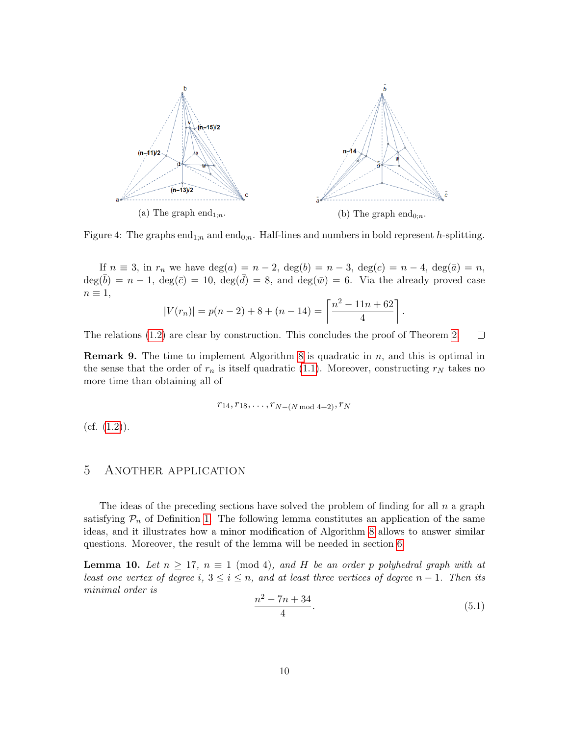<span id="page-9-1"></span>

Figure 4: The graphs end<sub>1;n</sub> and end<sub>0;n</sub>. Half-lines and numbers in bold represent h-splitting.

If  $n \equiv 3$ , in  $r_n$  we have  $deg(a) = n - 2$ ,  $deg(b) = n - 3$ ,  $deg(c) = n - 4$ ,  $deg(\bar{a}) = n$ ,  $deg(\bar{b}) = n - 1$ ,  $deg(\bar{c}) = 10$ ,  $deg(\bar{d}) = 8$ , and  $deg(\bar{w}) = 6$ . Via the already proved case  $n \equiv 1,$ 

$$
|V(r_n)| = p(n-2) + 8 + (n-14) = \left\lceil \frac{n^2 - 11n + 62}{4} \right\rceil
$$

The relations [\(1.2\)](#page-1-4) are clear by construction. This concludes the proof of Theorem [2.](#page-1-1)  $\Box$ 

**Remark 9.** The time to implement Algorithm [8](#page-6-0) is quadratic in  $n$ , and this is optimal in the sense that the order of  $r_n$  is itself quadratic [\(1.1\)](#page-1-2). Moreover, constructing  $r_N$  takes no more time than obtaining all of

$$
r_{14}, r_{18}, \ldots, r_{N-(N \bmod 4+2)}, r_N
$$

 $(cf. (1.2)).$  $(cf. (1.2)).$  $(cf. (1.2)).$ 

## <span id="page-9-0"></span>5 Another application

The ideas of the preceding sections have solved the problem of finding for all  $n$  a graph satisfying  $\mathcal{P}_n$  of Definition [1.](#page-1-3) The following lemma constitutes an application of the same ideas, and it illustrates how a minor modification of Algorithm [8](#page-6-0) allows to answer similar questions. Moreover, the result of the lemma will be needed in section [6.](#page-11-0)

<span id="page-9-3"></span>**Lemma 10.** Let  $n \geq 17$ ,  $n \equiv 1 \pmod{4}$ , and H be an order p polyhedral graph with at least one vertex of degree i,  $3 \le i \le n$ , and at least three vertices of degree  $n-1$ . Then its minimal order is

<span id="page-9-2"></span>
$$
\frac{n^2 - 7n + 34}{4}.\tag{5.1}
$$

.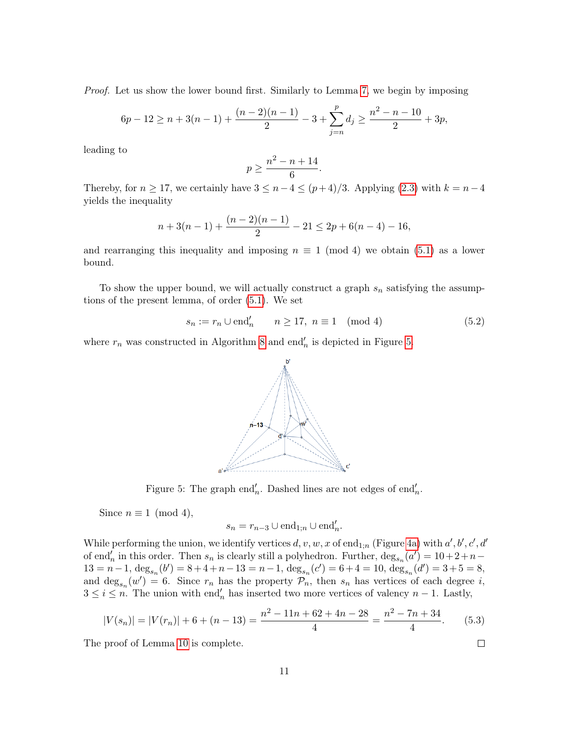Proof. Let us show the lower bound first. Similarly to Lemma [7,](#page-4-4) we begin by imposing

$$
6p - 12 \ge n + 3(n - 1) + \frac{(n - 2)(n - 1)}{2} - 3 + \sum_{j=n}^{p} d_j \ge \frac{n^2 - n - 10}{2} + 3p,
$$

leading to

$$
p \ge \frac{n^2 - n + 14}{6}.
$$

Thereby, for  $n \geq 17$ , we certainly have  $3 \leq n-4 \leq (p+4)/3$ . Applying [\(2.3\)](#page-4-2) with  $k = n-4$ yields the inequality

$$
n+3(n-1)+\frac{(n-2)(n-1)}{2}-21 \le 2p+6(n-4)-16,
$$

and rearranging this inequality and imposing  $n \equiv 1 \pmod{4}$  we obtain [\(5.1\)](#page-9-2) as a lower bound.

To show the upper bound, we will actually construct a graph  $s_n$  satisfying the assumptions of the present lemma, of order [\(5.1\)](#page-9-2). We set

$$
s_n := r_n \cup \text{end}_n' \qquad n \ge 17, \ n \equiv 1 \pmod{4} \tag{5.2}
$$

<span id="page-10-0"></span>where  $r_n$  was constructed in Algorithm [8](#page-6-0) and end<sup>'</sup><sub>n</sub> is depicted in Figure [5.](#page-10-0)



Figure 5: The graph end<sup>'</sup><sub>n</sub>. Dashed lines are not edges of end<sup>'</sup><sub>n</sub>.

Since  $n \equiv 1 \pmod{4}$ ,

$$
s_n = r_{n-3} \cup \text{end}_{1;n} \cup \text{end}'_n.
$$

While performing the union, we identify vertices  $d, v, w, x$  of end<sub>1;n</sub> (Figure [4a\)](#page-9-1) with  $a', b', c', d'$ of end<sup>'</sup><sub>n</sub> in this order. Then  $s_n$  is clearly still a polyhedron. Further,  $\deg_{s_n}(a') = 10 + 2 + n 13 = n - 1$ ,  $\deg_{s_n}(b') = 8 + 4 + n - 13 = n - 1$ ,  $\deg_{s_n}(c') = 6 + 4 = 10$ ,  $\deg_{s_n}(d') = 3 + 5 = 8$ , and  $\deg_{s_n}(w')=6$ . Since  $r_n$  has the property  $\mathcal{P}_n$ , then  $s_n$  has vertices of each degree i,  $3 \leq i \leq n$ . The union with end<sub>n</sub> has inserted two more vertices of valency  $n-1$ . Lastly,

$$
|V(s_n)| = |V(r_n)| + 6 + (n - 13) = \frac{n^2 - 11n + 62 + 4n - 28}{4} = \frac{n^2 - 7n + 34}{4}.
$$
 (5.3)

The proof of Lemma [10](#page-9-3) is complete.

 $\Box$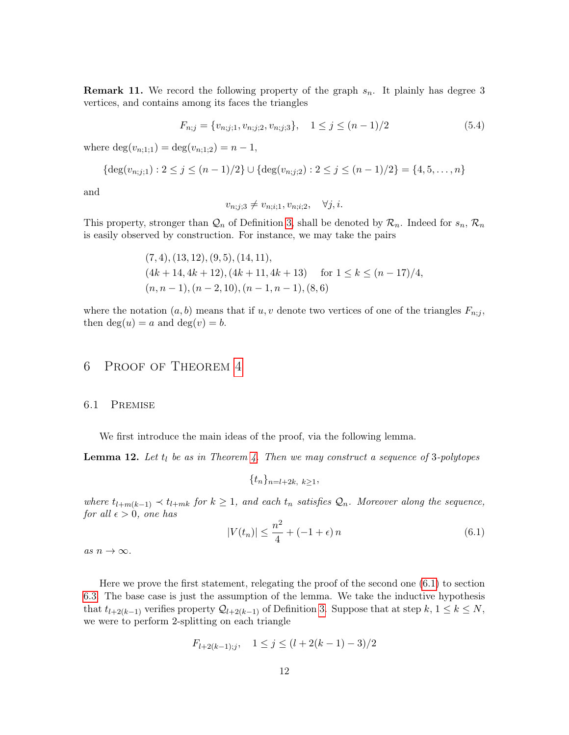<span id="page-11-3"></span>**Remark 11.** We record the following property of the graph  $s_n$ . It plainly has degree 3 vertices, and contains among its faces the triangles

$$
F_{n;j} = \{v_{n;j;1}, v_{n;j;2}, v_{n;j;3}\}, \quad 1 \le j \le (n-1)/2
$$
\n
$$
(5.4)
$$

where  $\deg(v_{n;1;1}) = \deg(v_{n;1;2}) = n-1$ ,

$$
\{\deg(v_{n;j;1}) : 2 \le j \le (n-1)/2\} \cup \{\deg(v_{n;j;2}) : 2 \le j \le (n-1)/2\} = \{4, 5, \dots, n\}
$$

and

$$
v_{n;j;3} \neq v_{n;i;1}, v_{n;i;2}, \quad \forall j, i.
$$

This property, stronger than  $\mathcal{Q}_n$  of Definition [3,](#page-2-2) shall be denoted by  $\mathcal{R}_n$ . Indeed for  $s_n, \mathcal{R}_n$ is easily observed by construction. For instance, we may take the pairs

$$
(7, 4), (13, 12), (9, 5), (14, 11),(4k + 14, 4k + 12), (4k + 11, 4k + 13) \quad \text{for } 1 \le k \le (n - 17)/4,(n, n - 1), (n - 2, 10), (n - 1, n - 1), (8, 6)
$$

where the notation  $(a, b)$  means that if u, v denote two vertices of one of the triangles  $F_{n;j}$ , then  $deg(u) = a$  and  $deg(v) = b$ .

## <span id="page-11-0"></span>6 Proof of Theorem [4](#page-2-0)

#### <span id="page-11-2"></span>6.1 Premise

We first introduce the main ideas of the proof, via the following lemma.

<span id="page-11-4"></span>**Lemma 12.** Let  $t_l$  be as in Theorem [4.](#page-2-0) Then we may construct a sequence of 3-polytopes

$$
\{t_n\}_{n=l+2k, k\geq 1},
$$

where  $t_{l+m(k-1)} \prec t_{l+mk}$  for  $k \geq 1$ , and each  $t_n$  satisfies  $\mathcal{Q}_n$ . Moreover along the sequence, for all  $\epsilon > 0$ , one has

<span id="page-11-1"></span>
$$
|V(t_n)| \le \frac{n^2}{4} + (-1 + \epsilon)n \tag{6.1}
$$

as  $n \to \infty$ .

Here we prove the first statement, relegating the proof of the second one [\(6.1\)](#page-11-1) to section [6.3.](#page-13-0) The base case is just the assumption of the lemma. We take the inductive hypothesis that  $t_{l+2(k-1)}$  verifies property  $\mathcal{Q}_{l+2(k-1)}$  of Definition [3.](#page-2-2) Suppose that at step  $k, 1 \leq k \leq N$ , we were to perform 2-splitting on each triangle

$$
F_{l+2(k-1);j}, \quad 1 \le j \le (l+2(k-1)-3)/2
$$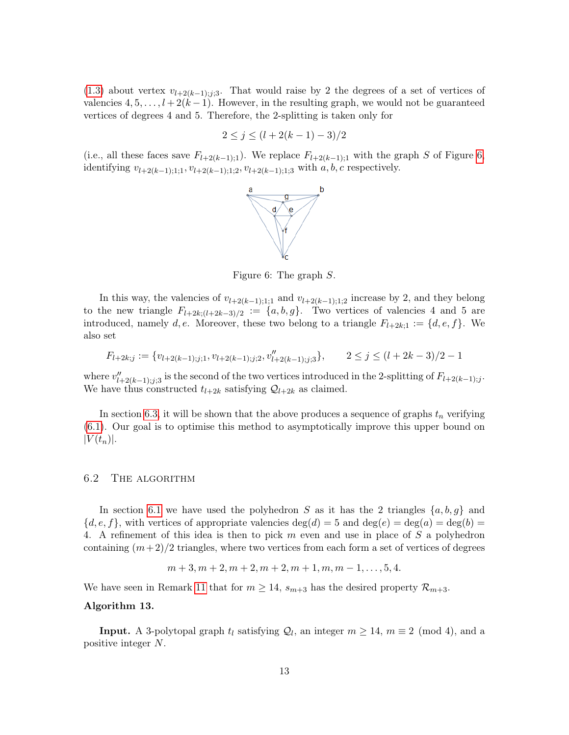[\(1.3\)](#page-2-3) about vertex  $v_{l+2(k-1);j;3}$ . That would raise by 2 the degrees of a set of vertices of valencies  $4, 5, \ldots, l + 2(k-1)$ . However, in the resulting graph, we would not be guaranteed vertices of degrees 4 and 5. Therefore, the 2-splitting is taken only for

$$
2 \le j \le (l + 2(k - 1) - 3)/2
$$

<span id="page-12-1"></span>(i.e., all these faces save  $F_{l+2(k-1);1}$ ). We replace  $F_{l+2(k-1);1}$  with the graph S of Figure [6,](#page-12-1) identifying  $v_{l+2(k-1);1;1}$ ,  $v_{l+2(k-1);1;2}$ ,  $v_{l+2(k-1);1;3}$  with  $a, b, c$  respectively.



Figure 6: The graph S.

In this way, the valencies of  $v_{l+2(k-1);1;1}$  and  $v_{l+2(k-1);1;2}$  increase by 2, and they belong to the new triangle  $F_{l+2k;(l+2k-3)/2} := \{a, b, g\}$ . Two vertices of valencies 4 and 5 are introduced, namely d, e. Moreover, these two belong to a triangle  $F_{l+2k;1} := \{d, e, f\}$ . We also set

$$
F_{l+2k;j} := \{v_{l+2(k-1);j;1}, v_{l+2(k-1);j;2}, v''_{l+2(k-1);j;3}\}, \qquad 2 \le j \le (l+2k-3)/2 - 1
$$

where  $v''_{l+2(k-1);j;3}$  is the second of the two vertices introduced in the 2-splitting of  $F_{l+2(k-1);j}$ . We have thus constructed  $t_{l+2k}$  satisfying  $\mathcal{Q}_{l+2k}$  as claimed.

In section [6.3,](#page-13-0) it will be shown that the above produces a sequence of graphs  $t_n$  verifying [\(6.1\)](#page-11-1). Our goal is to optimise this method to asymptotically improve this upper bound on  $|V(t_n)|$ .

#### 6.2 The algorithm

In section [6.1](#page-11-2) we have used the polyhedron S as it has the 2 triangles  $\{a, b, g\}$  and  ${d, e, f}$ , with vertices of appropriate valencies  $deg(d) = 5$  and  $deg(e) = deg(a) = deg(b) =$ 4. A refinement of this idea is then to pick m even and use in place of S a polyhedron containing  $(m+2)/2$  triangles, where two vertices from each form a set of vertices of degrees

$$
m+3, m+2, m+2, m+2, m+1, m, m-1, \ldots, 5, 4.
$$

We have seen in Remark [11](#page-11-3) that for  $m \geq 14$ ,  $s_{m+3}$  has the desired property  $\mathcal{R}_{m+3}$ .

#### <span id="page-12-0"></span>Algorithm 13.

**Input.** A 3-polytopal graph  $t_l$  satisfying  $Q_l$ , an integer  $m \geq 14$ ,  $m \equiv 2 \pmod{4}$ , and a positive integer N.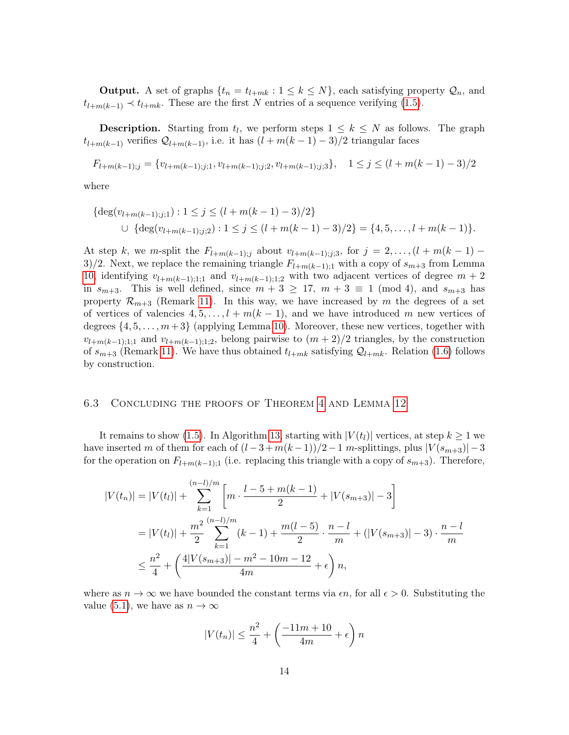**Output.** A set of graphs  $\{t_n = t_{l+mk} : 1 \leq k \leq N\}$ , each satisfying property  $\mathcal{Q}_n$ , and  $t_{l+m(k-1)} \prec t_{l+mk}$ . These are the first N entries of a sequence verifying [\(1.5\)](#page-2-1).

**Description.** Starting from  $t_l$ , we perform steps  $1 \leq k \leq N$  as follows. The graph  $t_{l+m(k-1)}$  verifies  $\mathcal{Q}_{l+m(k-1)}$ , i.e. it has  $(l+m(k-1)-3)/2$  triangular faces

$$
F_{l+m(k-1);j} = \{v_{l+m(k-1);j;1}, v_{l+m(k-1);j;2}, v_{l+m(k-1);j;3}\}, \quad 1 \le j \le (l+m(k-1)-3)/2
$$

where

$$
\begin{aligned} \{ \deg(v_{l+m(k-1);j;1}) : 1 \le j \le (l+m(k-1)-3)/2 \} \\ \cup \{ \deg(v_{l+m(k-1);j;2}) : 1 \le j \le (l+m(k-1)-3)/2 \} = \{4, 5, \dots, l+m(k-1)\}. \end{aligned}
$$

At step k, we m-split the  $F_{l+m(k-1);j}$  about  $v_{l+m(k-1);j;3}$ , for  $j = 2, ..., (l+m(k-1) - l)$ 3)/2. Next, we replace the remaining triangle  $F_{l+m(k-1);1}$  with a copy of  $s_{m+3}$  from Lemma [10,](#page-9-3) identifying  $v_{l+m(k-1);1;1}$  and  $v_{l+m(k-1);1;2}$  with two adjacent vertices of degree  $m+2$ in  $s_{m+3}$ . This is well defined, since  $m+3 \geq 17$ ,  $m+3 \equiv 1 \pmod{4}$ , and  $s_{m+3}$  has property  $\mathcal{R}_{m+3}$  (Remark [11\)](#page-11-3). In this way, we have increased by m the degrees of a set of vertices of valencies  $4, 5, \ldots, l + m(k-1)$ , and we have introduced m new vertices of degrees  $\{4, 5, \ldots, m+3\}$  (applying Lemma [10\)](#page-9-3). Moreover, these new vertices, together with  $v_{l+m(k-1);1;1}$  and  $v_{l+m(k-1);1;2}$ , belong pairwise to  $(m+2)/2$  triangles, by the construction of  $s_{m+3}$  (Remark [11\)](#page-11-3). We have thus obtained  $t_{l+mk}$  satisfying  $\mathcal{Q}_{l+mk}$ . Relation [\(1.6\)](#page-2-5) follows by construction.

#### <span id="page-13-0"></span>6.3 Concluding the proofs of Theorem [4](#page-2-0) and Lemma [12](#page-11-4)

It remains to show [\(1.5\)](#page-2-1). In Algorithm [13,](#page-12-0) starting with  $|V(t_l)|$  vertices, at step  $k \geq 1$  we have inserted m of them for each of  $(l-3+m(k-1))/2-1$  m-splittings, plus  $|V(s_{m+3})|-3$ for the operation on  $F_{l+m(k-1);1}$  (i.e. replacing this triangle with a copy of  $s_{m+3}$ ). Therefore,

$$
|V(t_n)| = |V(t_l)| + \sum_{k=1}^{(n-l)/m} \left[ m \cdot \frac{l-5+m(k-1)}{2} + |V(s_{m+3})| - 3 \right]
$$
  
= |V(t\_l)| + \frac{m^2}{2} \sum\_{k=1}^{(n-l)/m} (k-1) + \frac{m(l-5)}{2} \cdot \frac{n-l}{m} + (|V(s\_{m+3})| - 3) \cdot \frac{n-l}{m}  

$$
\leq \frac{n^2}{4} + \left( \frac{4|V(s_{m+3})| - m^2 - 10m - 12}{4m} + \epsilon \right) n,
$$

where as  $n \to \infty$  we have bounded the constant terms via  $\epsilon n$ , for all  $\epsilon > 0$ . Substituting the value [\(5.1\)](#page-9-2), we have as  $n \to \infty$ 

$$
|V(t_n)| \le \frac{n^2}{4} + \left(\frac{-11m + 10}{4m} + \epsilon\right)n
$$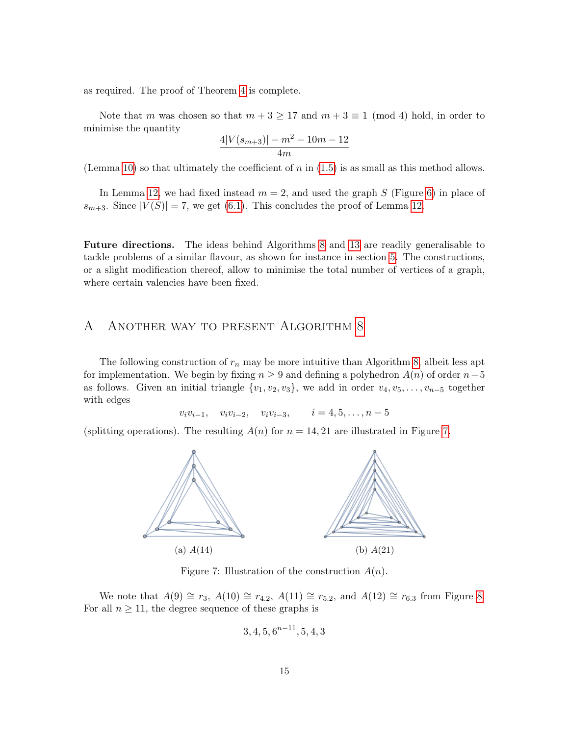as required. The proof of Theorem [4](#page-2-0) is complete.

Note that m was chosen so that  $m + 3 \ge 17$  and  $m + 3 \equiv 1 \pmod{4}$  hold, in order to minimise the quantity

$$
\frac{4|V(s_{m+3})| - m^2 - 10m - 12}{4m}
$$

(Lemma [10\)](#page-9-3) so that ultimately the coefficient of  $n$  in [\(1.5\)](#page-2-1) is as small as this method allows.

In Lemma [12,](#page-11-4) we had fixed instead  $m = 2$ , and used the graph S (Figure [6\)](#page-12-1) in place of  $s_{m+3}$ . Since  $|V(S)| = 7$ , we get [\(6.1\)](#page-11-1). This concludes the proof of Lemma [12.](#page-11-4)

Future directions. The ideas behind Algorithms [8](#page-6-0) and [13](#page-12-0) are readily generalisable to tackle problems of a similar flavour, as shown for instance in section [5.](#page-9-0) The constructions, or a slight modification thereof, allow to minimise the total number of vertices of a graph, where certain valencies have been fixed.

## <span id="page-14-0"></span>A Another way to present Algorithm [8](#page-6-0)

The following construction of  $r_n$  may be more intuitive than Algorithm [8,](#page-6-0) albeit less apt for implementation. We begin by fixing  $n \geq 9$  and defining a polyhedron  $A(n)$  of order  $n-5$ as follows. Given an initial triangle  $\{v_1, v_2, v_3\}$ , we add in order  $v_4, v_5, \ldots, v_{n-5}$  together with edges

$$
v_i v_{i-1}, v_i v_{i-2}, v_i v_{i-3}, i = 4, 5, ..., n-5
$$

<span id="page-14-1"></span>(splitting operations). The resulting  $A(n)$  for  $n = 14, 21$  are illustrated in Figure [7.](#page-14-1)



Figure 7: Illustration of the construction  $A(n)$ .

We note that  $A(9) \cong r_3$ ,  $A(10) \cong r_{4.2}$ ,  $A(11) \cong r_{5.2}$ , and  $A(12) \cong r_{6.3}$  from Figure [8.](#page-16-0) For all  $n \geq 11$ , the degree sequence of these graphs is

$$
3, 4, 5, 6^{n-11}, 5, 4, 3
$$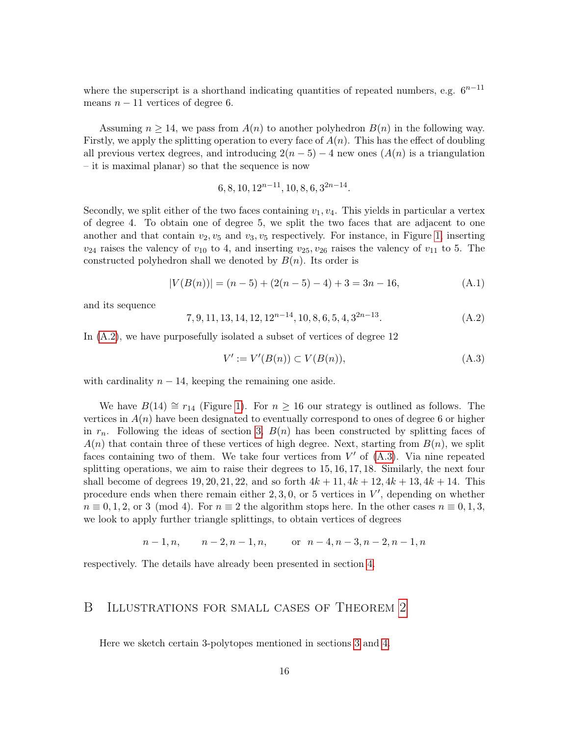where the superscript is a shorthand indicating quantities of repeated numbers, e.g.  $6^{n-11}$ means  $n - 11$  vertices of degree 6.

Assuming  $n \geq 14$ , we pass from  $A(n)$  to another polyhedron  $B(n)$  in the following way. Firstly, we apply the splitting operation to every face of  $A(n)$ . This has the effect of doubling all previous vertex degrees, and introducing  $2(n-5) - 4$  new ones  $(A(n))$  is a triangulation – it is maximal planar) so that the sequence is now

$$
6, 8, 10, 12^{n-11}, 10, 8, 6, 3^{2n-14}.
$$

Secondly, we split either of the two faces containing  $v_1, v_4$ . This yields in particular a vertex of degree 4. To obtain one of degree 5, we split the two faces that are adjacent to one another and that contain  $v_2, v_5$  and  $v_3, v_5$  respectively. For instance, in Figure [1,](#page-5-0) inserting  $v_{24}$  raises the valency of  $v_{10}$  to 4, and inserting  $v_{25}, v_{26}$  raises the valency of  $v_{11}$  to 5. The constructed polyhedron shall we denoted by  $B(n)$ . Its order is

$$
|V(B(n))| = (n-5) + (2(n-5) - 4) + 3 = 3n - 16,
$$
\n(A.1)

and its sequence

<span id="page-15-1"></span>
$$
7, 9, 11, 13, 14, 12, 12^{n-14}, 10, 8, 6, 5, 4, 3^{2n-13}.
$$
 (A.2)

In  $(A.2)$ , we have purposefully isolated a subset of vertices of degree 12

<span id="page-15-2"></span>
$$
V' := V'(B(n)) \subset V(B(n)),\tag{A.3}
$$

with cardinality  $n - 14$ , keeping the remaining one aside.

We have  $B(14) \cong r_{14}$  (Figure [1\)](#page-5-0). For  $n \ge 16$  our strategy is outlined as follows. The vertices in  $A(n)$  have been designated to eventually correspond to ones of degree 6 or higher in  $r_n$ . Following the ideas of section [3,](#page-4-0)  $B(n)$  has been constructed by splitting faces of  $A(n)$  that contain three of these vertices of high degree. Next, starting from  $B(n)$ , we split faces containing two of them. We take four vertices from  $V'$  of  $(A.3)$ . Via nine repeated splitting operations, we aim to raise their degrees to 15, 16, 17, 18. Similarly, the next four shall become of degrees 19, 20, 21, 22, and so forth  $4k + 11$ ,  $4k + 12$ ,  $4k + 13$ ,  $4k + 14$ . This procedure ends when there remain either  $2, 3, 0$ , or 5 vertices in  $V'$ , depending on whether  $n \equiv 0, 1, 2, \text{ or } 3 \pmod{4}$ . For  $n \equiv 2$  the algorithm stops here. In the other cases  $n \equiv 0, 1, 3,$ we look to apply further triangle splittings, to obtain vertices of degrees

$$
n-1, n, \qquad n-2, n-1, n, \qquad \text{or} \quad n-4, n-3, n-2, n-1, n
$$

respectively. The details have already been presented in section [4.](#page-5-1)

### <span id="page-15-0"></span>B Illustrations for small cases of Theorem [2](#page-1-1)

Here we sketch certain 3-polytopes mentioned in sections [3](#page-4-0) and [4.](#page-5-1)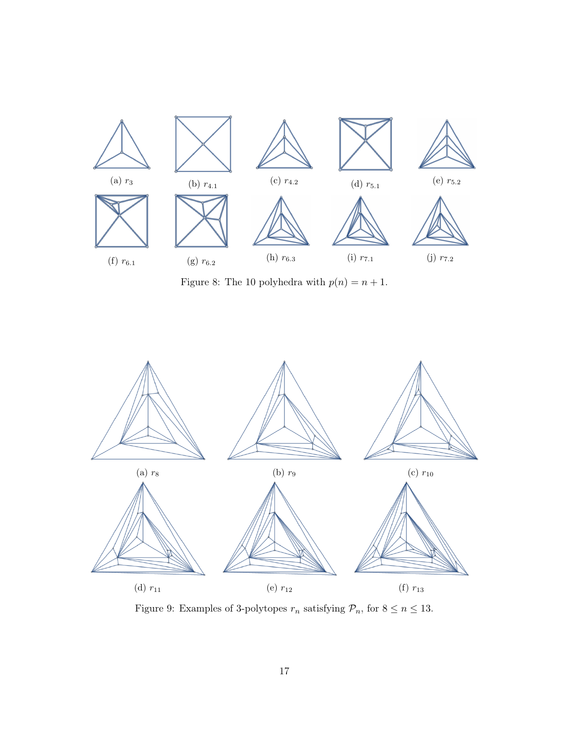<span id="page-16-0"></span>

Figure 8: The 10 polyhedra with  $p(n)=n+1.$ 

<span id="page-16-1"></span>

Figure 9: Examples of 3-polytopes  $r_n$  satisfying  $\mathcal{P}_n,$  for  $8\leq n\leq 13.$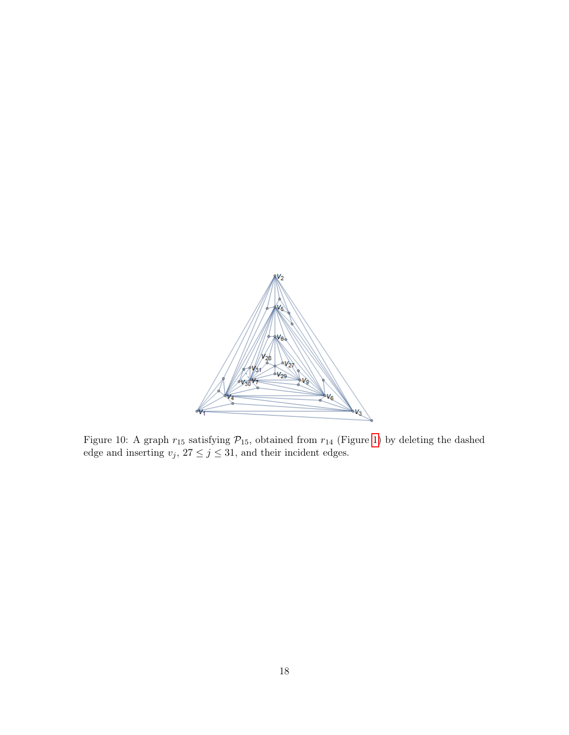<span id="page-17-0"></span>

Figure 10: A graph  $r_{15}$  satisfying  $\mathcal{P}_{15}$ , obtained from  $r_{14}$  (Figure [1\)](#page-5-0) by deleting the dashed edge and inserting  $v_j$ ,  $27 \le j \le 31$ , and their incident edges.